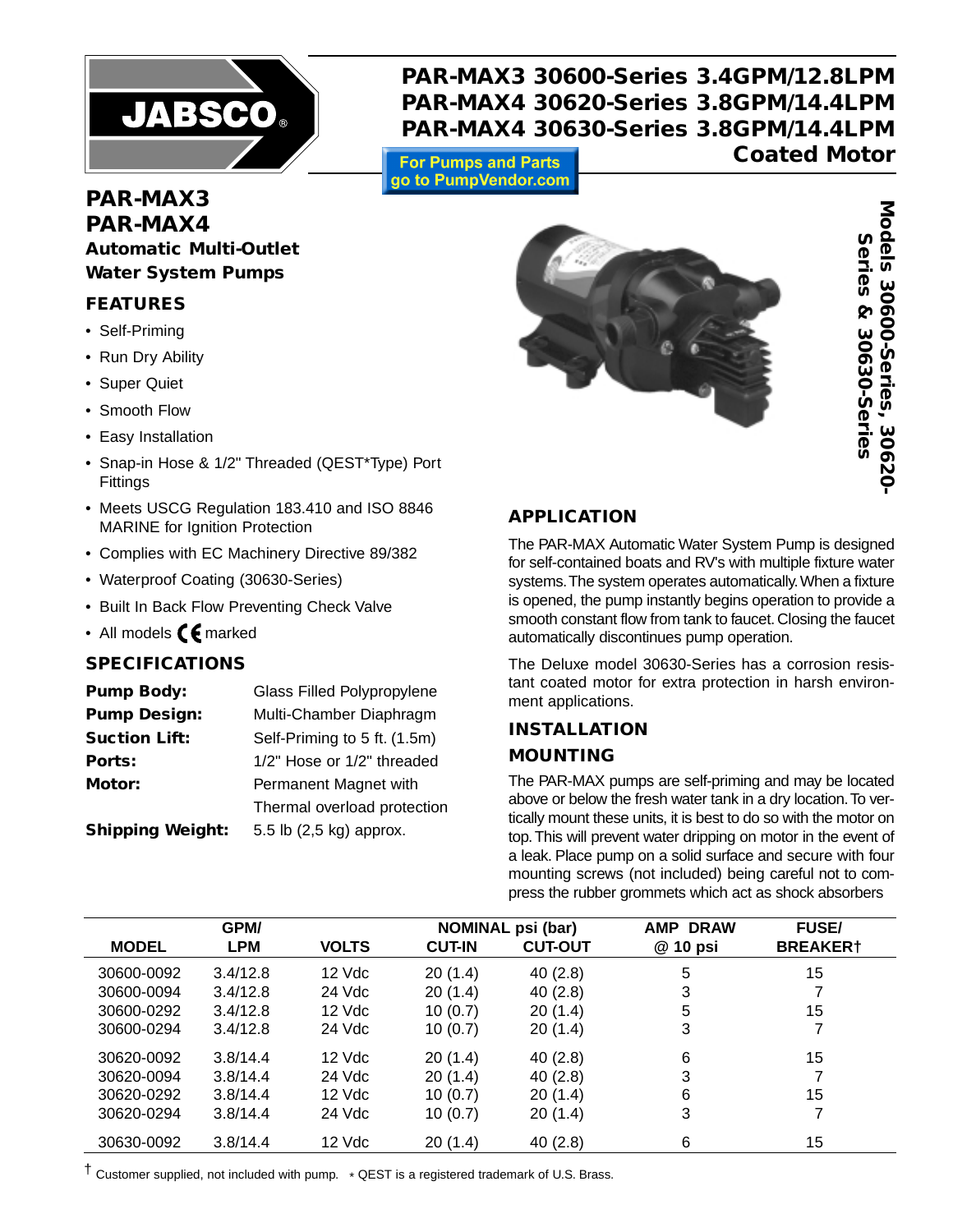

**PAR-MAX3 30600-Series 3.4GPM/12.8LPM PAR-MAX4 30620-Series 3.8GPM/14.4LPM PAR-MAX4 30630-Series 3.8GPM/14.4LPM**

**For Pumps and Parts** go to PumpVendor.com

# **Coated Motor**

# **PAR-MAX3 PAR-MAX4 Automatic Multi-Outlet Water System Pumps**

### **FEATURES**

- Self-Priming
- Run Dry Ability
- Super Quiet
- Smooth Flow
- Easy Installation
- Snap-in Hose & 1/2" Threaded (QEST\*Type) Port Fittings
- Meets USCG Regulation 183.410 and ISO 8846 MARINE for Ignition Protection
- Complies with EC Machinery Directive 89/382
- Waterproof Coating (30630-Series)
- Built In Back Flow Preventing Check Valve
- All models  $\epsilon$  marked

# **SPECIFICATIONS**

| <b>Pump Body:</b>       | Glass Filled Polypropylene   |  |
|-------------------------|------------------------------|--|
| <b>Pump Design:</b>     | Multi-Chamber Diaphragm      |  |
| <b>Suction Lift:</b>    | Self-Priming to 5 ft. (1.5m) |  |
| Ports:                  | 1/2" Hose or 1/2" threaded   |  |
| Motor:                  | Permanent Magnet with        |  |
|                         | Thermal overload protection  |  |
| <b>Shipping Weight:</b> | 5.5 lb (2,5 kg) approx.      |  |



# **APPLICATION**

The PAR-MAX Automatic Water System Pump is designed for self-contained boats and RV's with multiple fixture water systems.The system operates automatically.When a fixture is opened, the pump instantly begins operation to provide a smooth constant flow from tank to faucet. Closing the faucet automatically discontinues pump operation.

The Deluxe model 30630-Series has a corrosion resistant coated motor for extra protection in harsh environment applications.

# **INSTALLATION MOUNTING**

The PAR-MAX pumps are self-priming and may be located above or below the fresh water tank in a dry location.To vertically mount these units, it is best to do so with the motor on top. This will prevent water dripping on motor in the event of a leak. Place pump on a solid surface and secure with four mounting screws (not included) being careful not to com-

| GPM/         |            |              | <b>NOMINAL psi (bar)</b> | <b>AMP DRAW</b> | <b>FUSE/</b> |                 |
|--------------|------------|--------------|--------------------------|-----------------|--------------|-----------------|
| <b>MODEL</b> | <b>LPM</b> | <b>VOLTS</b> | <b>CUT-IN</b>            | <b>CUT-OUT</b>  | @ 10 psi     | <b>BREAKER†</b> |
| 30600-0092   | 3.4/12.8   | 12 Vdc       | 20(1.4)                  | 40(2.8)         | 5            | 15              |
| 30600-0094   | 3.4/12.8   | 24 Vdc       | 20(1.4)                  | 40(2.8)         | 3            |                 |
| 30600-0292   | 3.4/12.8   | 12 Vdc       | 10(0.7)                  | 20(1.4)         | 5            | 15              |
| 30600-0294   | 3.4/12.8   | 24 Vdc       | 10(0.7)                  | 20(1.4)         | 3            |                 |
| 30620-0092   | 3.8/14.4   | 12 Vdc       | 20(1.4)                  | 40(2.8)         | 6            | 15              |
| 30620-0094   | 3.8/14.4   | 24 Vdc       | 20(1.4)                  | 40(2.8)         | 3            |                 |
| 30620-0292   | 3.8/14.4   | 12 Vdc       | 10(0.7)                  | 20(1.4)         | 6            | 15              |
| 30620-0294   | 3.8/14.4   | 24 Vdc       | 10(0.7)                  | 20(1.4)         | 3            |                 |
| 30630-0092   | 3.8/14.4   | 12 Vdc       | 20(1.4)                  | 40(2.8)         | 6            | 15              |

† Customer supplied, not included with pump. \* QEST is a registered trademark of U.S. Brass.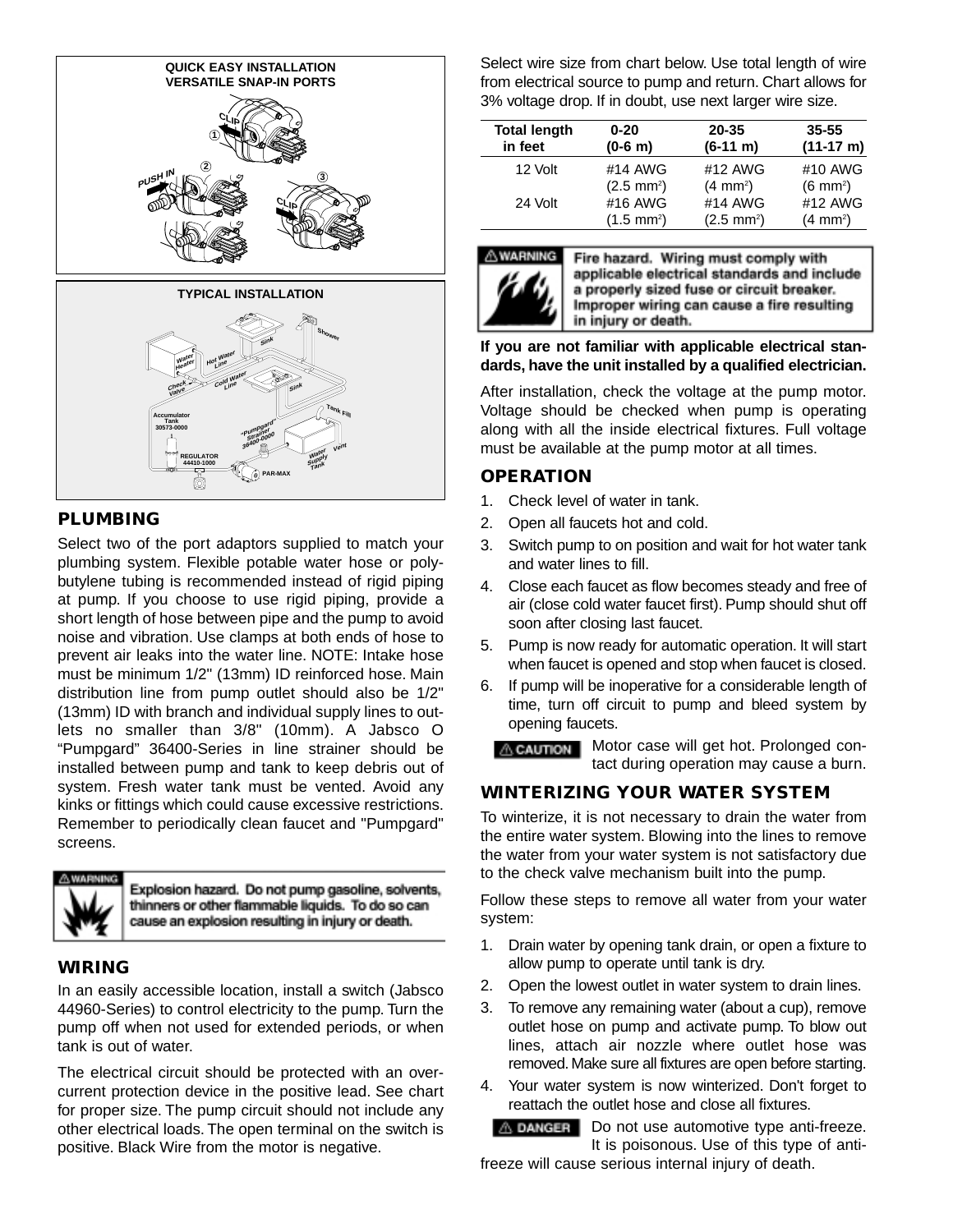

# **PLUMBING**

Select two of the port adaptors supplied to match your plumbing system. Flexible potable water hose or polybutylene tubing is recommended instead of rigid piping at pump. If you choose to use rigid piping, provide a short length of hose between pipe and the pump to avoid noise and vibration. Use clamps at both ends of hose to prevent air leaks into the water line. NOTE: Intake hose must be minimum 1/2" (13mm) ID reinforced hose. Main distribution line from pump outlet should also be 1/2" (13mm) ID with branch and individual supply lines to outlets no smaller than 3/8" (10mm). A Jabsco O "Pumpgard" 36400-Series in line strainer should be installed between pump and tank to keep debris out of system. Fresh water tank must be vented. Avoid any kinks or fittings which could cause excessive restrictions. Remember to periodically clean faucet and "Pumpgard" screens.



Explosion hazard. Do not pump gasoline, solvents, thinners or other flammable liquids. To do so can cause an explosion resulting in injury or death.

### **WIRING**

In an easily accessible location, install a switch (Jabsco 44960-Series) to control electricity to the pump. Turn the pump off when not used for extended periods, or when tank is out of water.

The electrical circuit should be protected with an overcurrent protection device in the positive lead. See chart for proper size. The pump circuit should not include any other electrical loads. The open terminal on the switch is positive. Black Wire from the motor is negative.

Select wire size from chart below. Use total length of wire from electrical source to pump and return. Chart allows for 3% voltage drop. If in doubt, use next larger wire size.

| <b>Total length</b><br>in feet | $0 - 20$<br>$(0-6 m)$ | $20 - 35$<br>$(6-11 \; m)$ | $35 - 55$<br>$(11-17 \text{ m})$ |
|--------------------------------|-----------------------|----------------------------|----------------------------------|
| 12 Volt                        | #14 AWG               | #12 AWG                    | #10 AWG                          |
|                                | $(2.5 \text{ mm}^2)$  | $(4 \, \text{mm}^2)$       | $(6 \text{ mm}^2)$               |
| 24 Volt                        | #16 AWG               | #14 AWG                    | #12 AWG                          |
|                                | $(1.5 \text{ mm}^2)$  | $(2.5 \text{ mm}^2)$       | $(4 \, \text{mm}^2)$             |



Fire hazard. Wiring must comply with applicable electrical standards and include a properly sized fuse or circuit breaker. Improper wiring can cause a fire resulting in injury or death.

#### **If you are not familiar with applicable electrical standards, have the unit installed by a qualified electrician.**

After installation, check the voltage at the pump motor. Voltage should be checked when pump is operating along with all the inside electrical fixtures. Full voltage must be available at the pump motor at all times.

### **OPERATION**

- 1. Check level of water in tank.
- 2. Open all faucets hot and cold.
- 3. Switch pump to on position and wait for hot water tank and water lines to fill.
- 4. Close each faucet as flow becomes steady and free of air (close cold water faucet first). Pump should shut off soon after closing last faucet.
- 5. Pump is now ready for automatic operation. It will start when faucet is opened and stop when faucet is closed.
- 6. If pump will be inoperative for a considerable length of time, turn off circuit to pump and bleed system by opening faucets.

**A CAUTION** Motor case will get hot. Prolonged contact during operation may cause a burn.

# **WINTERIZING YOUR WATER SYSTEM**

To winterize, it is not necessary to drain the water from the entire water system. Blowing into the lines to remove the water from your water system is not satisfactory due to the check valve mechanism built into the pump.

Follow these steps to remove all water from your water system:

- 1. Drain water by opening tank drain, or open a fixture to allow pump to operate until tank is dry.
- 2. Open the lowest outlet in water system to drain lines.
- 3. To remove any remaining water (about a cup), remove outlet hose on pump and activate pump. To blow out lines, attach air nozzle where outlet hose was removed. Make sure all fixtures are open before starting.
- 4. Your water system is now winterized. Don't forget to reattach the outlet hose and close all fixtures.

**A DANGER** Do not use automotive type anti-freeze. It is poisonous. Use of this type of antifreeze will cause serious internal injury of death.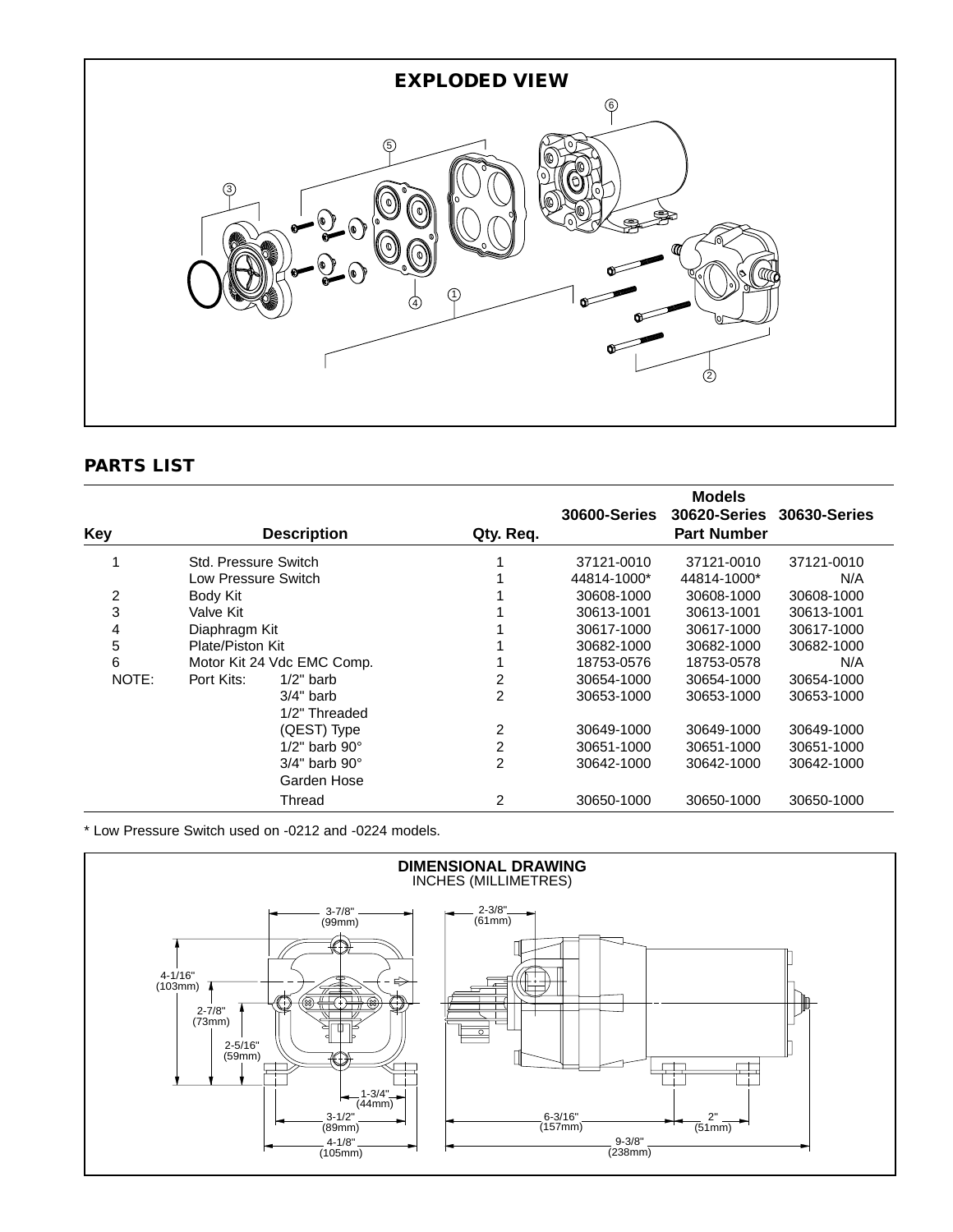

# **PARTS LIST**

|       |                      |                            |           |                     | <b>Models</b>       |                     |
|-------|----------------------|----------------------------|-----------|---------------------|---------------------|---------------------|
|       |                      |                            |           | <b>30600-Series</b> | <b>30620-Series</b> | <b>30630-Series</b> |
| Key   |                      | <b>Description</b>         | Qty. Req. |                     | <b>Part Number</b>  |                     |
|       | Std. Pressure Switch |                            |           | 37121-0010          | 37121-0010          | 37121-0010          |
|       | Low Pressure Switch  |                            |           | 44814-1000*         | 44814-1000*         | N/A                 |
| 2     | Body Kit             |                            |           | 30608-1000          | 30608-1000          | 30608-1000          |
| 3     | Valve Kit            |                            |           | 30613-1001          | 30613-1001          | 30613-1001          |
| 4     | Diaphragm Kit        |                            |           | 30617-1000          | 30617-1000          | 30617-1000          |
| 5     | Plate/Piston Kit     |                            |           | 30682-1000          | 30682-1000          | 30682-1000          |
| 6     |                      | Motor Kit 24 Vdc EMC Comp. |           | 18753-0576          | 18753-0578          | N/A                 |
| NOTE: | Port Kits:           | $1/2$ " barb               | 2         | 30654-1000          | 30654-1000          | 30654-1000          |
|       |                      | $3/4"$ barb                | 2         | 30653-1000          | 30653-1000          | 30653-1000          |
|       |                      | 1/2" Threaded              |           |                     |                     |                     |
|       |                      | (QEST) Type                | 2         | 30649-1000          | 30649-1000          | 30649-1000          |
|       |                      | $1/2$ " barb $90^\circ$    | 2         | 30651-1000          | 30651-1000          | 30651-1000          |
|       |                      | $3/4"$ barb $90°$          | 2         | 30642-1000          | 30642-1000          | 30642-1000          |
|       |                      | Garden Hose                |           |                     |                     |                     |
|       |                      | Thread                     | 2         | 30650-1000          | 30650-1000          | 30650-1000          |

\* Low Pressure Switch used on -0212 and -0224 models.